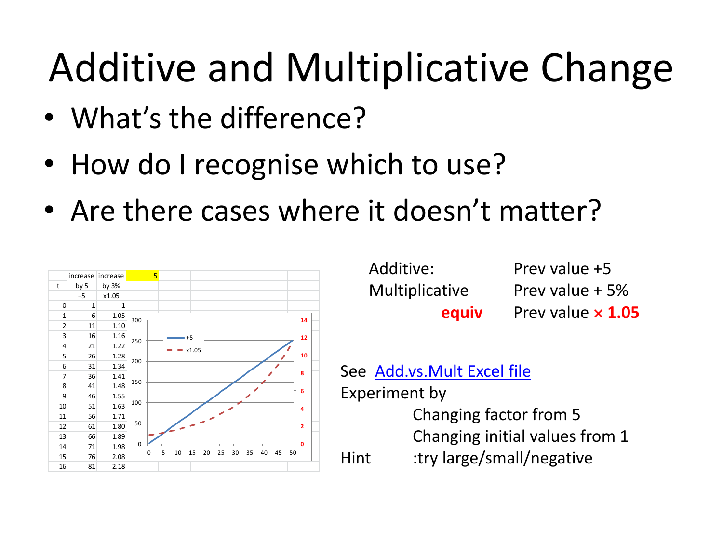- What's the difference?
- How do I recognise which to use?
- Are there cases where it doesn't matter?



| Additive:             | Prev value +5            |
|-----------------------|--------------------------|
| <b>Multiplicative</b> | Prev value + 5%          |
| equiv                 | Prev value $\times$ 1.05 |

#### See [Add.vs.Mult](https://www.scss.tcd.ie/John.Haslett/st7002/Add.vs.Mult.xlsx) [Excel file](https://www.scss.tcd.ie/John.Haslett/st7002/Add.vs.Mult.xlsx)

Experiment by

Changing factor from 5

Changing initial values from 1

Hint :try large/small/negative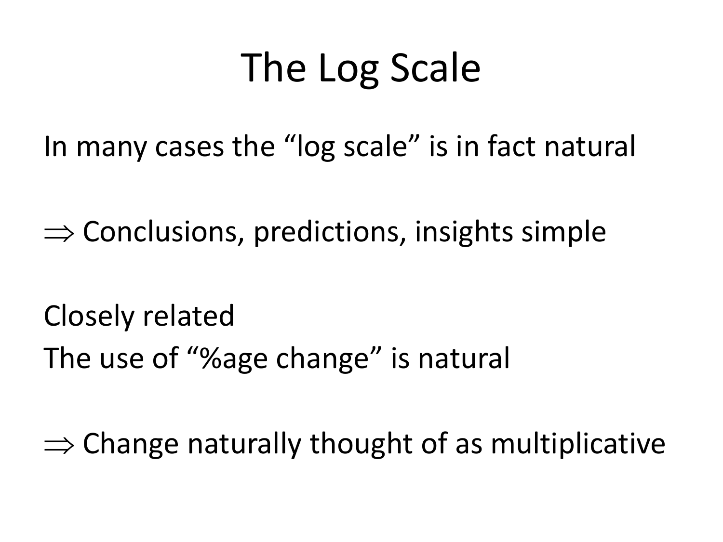### The Log Scale

In many cases the "log scale" is in fact natural

 $\Rightarrow$  Conclusions, predictions, insights simple

Closely related The use of "%age change" is natural

 $\Rightarrow$  Change naturally thought of as multiplicative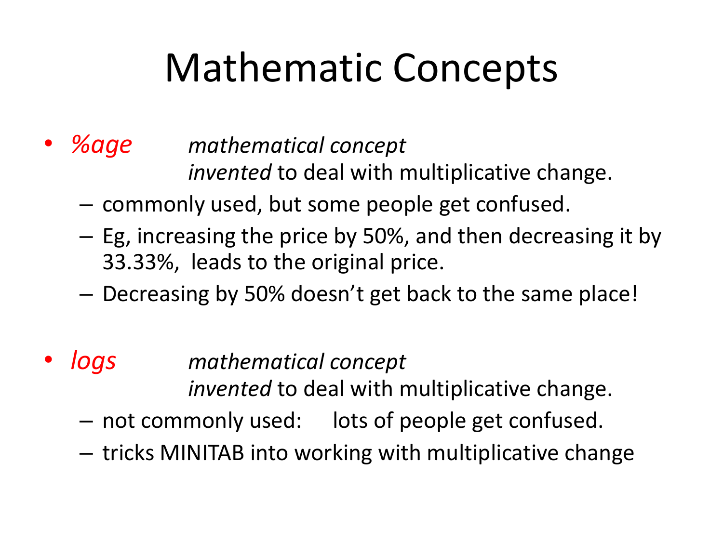### Mathematic Concepts

### • *%age mathematical concept invented* to deal with multiplicative change.

- commonly used, but some people get confused.
- Eg, increasing the price by 50%, and then decreasing it by 33.33%, leads to the original price.
- Decreasing by 50% doesn't get back to the same place!
- *logs mathematical concept invented* to deal with multiplicative change.
	- not commonly used: lots of people get confused.
	- tricks MINITAB into working with multiplicative change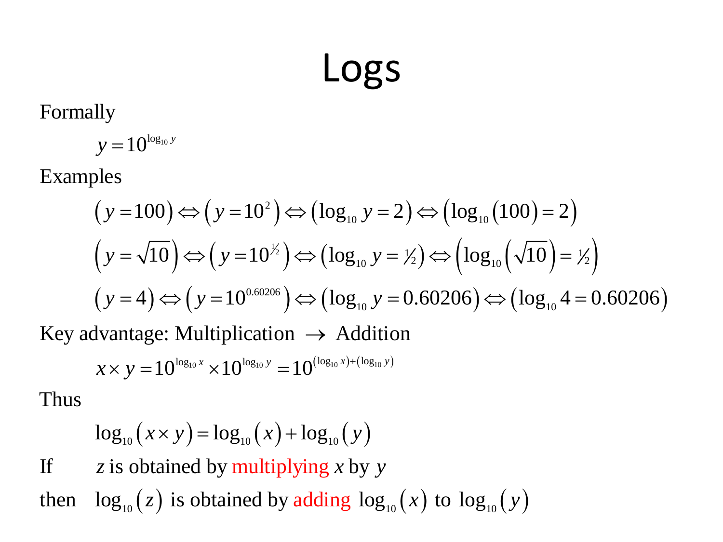### Logs

$$
y=10^{\log_{10}y}
$$

Formally  
\n
$$
y = 10^{\log_{10} y}
$$
  
\nExamples  
\n $(y = 100) \Leftrightarrow (y = 10^2) \Leftrightarrow (\log_{10} y = 2) \Leftrightarrow (\log_{10} (100) = 2)$   
\n $(y = \sqrt{10}) \Leftrightarrow (y = 10^{y/2}) \Leftrightarrow (\log_{10} y = y/2) \Leftrightarrow (\log_{10} (\sqrt{10}) = y/2)$   
\n $(y = 4) \Leftrightarrow (y = 10^{0.60206}) \Leftrightarrow (\log_{10} y = 0.60206) \Leftrightarrow (\log_{10} 4 = 0.60206)$   
\nKey advantage: Multiplication  $\rightarrow$  Addition  
\n $x \times y = 10^{\log_{10} x} \times 10^{\log_{10} y} = 10^{(\log_{10} x) + (\log_{10} y)}$   
\nThus  
\n $\log_{10} (x \times y) = \log_{10} (x) + \log_{10} (y)$   
\nIf  $z$  is obtained by multiplying  $x$  by  $y$   
\nthen  $\log_{10} (z)$  is obtained by adding  $\log_{10} (x)$  to  $\log_{10} (y)$ 

$$
x \times y = 10^{\log_{10} x} \times 10^{\log_{10} y} = 10^{(\log_{10} x) + (\log_{10} y)}
$$

$$
\log_{10} (x \times y) = \log_{10} (x) + \log_{10} (y)
$$

If  $z$  is obtained by multiplying x by y

then  $\log_{10}(z)$  is obtained by adding  $\log_{10}(x)$  to  $\log_{10}(y)$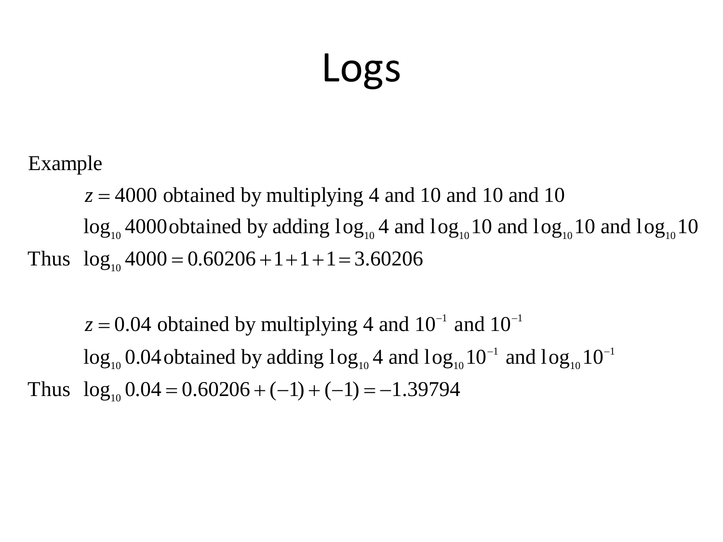### Logs

 $z = 4000$  obtained by multiplying 4 and 10 and 10 and 10

Example<br>  $z = 4000$  obtained by multiplying 4 and 10 and 10 and 10<br>  $log_{10}$  4000 obtained by adding  $log_{10}$  4 and  $log_{10}$  10 and  $log_{10}$  10 and  $log_{10}$  10<br>
Thus  $log_{10}$  4000 = 0.60206 + 1 + 1 + 1 = 3.60206 0 and 10<br>and  $\log_{10} 10$  and  $\log_{10} 10$ <br> $10^{-1}$ <br>and  $\log_{10} 10^{-1}$ 

**LOGS**<br>
<sup>1000</sup> obtained by multiplying 4 and 10 and 10 and 10<br>
<sup>10</sup> and  $10g_{10}$  10 and  $10g_{10}$  10 and  $10g_{10}$  10<br>
<sup>10</sup> 4000 = 0.60206 + 1 + 1 + 1 = 3.60206<br>
<br> **0.04** obtained by multiplying 4 and  $10^{-1}$  and  $10^{-1}$ **LOGS**<br>
log<sub>no</sub> 4000 obtained by multiplying 4 and 10 and 10 and 10<br>
log<sub>no</sub> 4000obtained by adding log<sub>no</sub> 4 and log<sub>no</sub> 10 and log<sub>no</sub> 10 and log<sub>10</sub> 10<br>
log<sub>no</sub> 4000 = 0.60206 + 1 + 1 + 1 = 3.60206<br>  $z = 0.04$  obtained **LOGS**<br>Example<br>  $z = 4000$  obtained by multiplying 4 and 10 and 10 and 10<br>  $log_{10} 4000$ obtained by adding  $log_{10} 4$  and  $log_{10} 10$  and  $log_{10} 10$  and l<br>
Thus  $log_{10} 4000 = 0.60206 + 1 + 1 + 1 = 3.60206$ <br>  $z = 0.04$  obtained by m  $z = 0.04$  obtained by multiplying 4 and  $10^{-1}$  and  $10^{-1}$ **LOGS**<br>btained by multiplying 4 and 10 and 10 and 10<br>obtained by adding  $log_{10} 4$  and  $log_{10} 10$  and  $log_{10} 10$  and  $log_{10} 10$ <br>= 0.60206 +1 + 1 + 1 = 3.60206<br>btained by multiplying 4 and  $10^{-1}$  and  $10^{-1}$ <br>bbtained by ad and 10 and 10<br>  $log_{10} 10$  and  $log_{10} 10$  and<br>
<sup>1</sup> and  $10^{-1}$ <br>  $g_{10} 10^{-1}$  and  $log_{10} 10^{-1}$ <br>
94 **LOGS**<br>
<sup>10</sup> 10000 obtained by multiplying 4 and 10 and 10 and 10<br>
<sup>10</sup> <sup>10</sup> 4000obtained by adding  $log_{10}$  4 and  $log_{10}$  10 and  $log_{10}$  10 and  $log_{10}$  11<br>
<sup>10</sup> 4000 = 0.60206 + 1 + 1 + 1 = 3.60206<br>
<br>
0.04 obtained by mul 10 d 10 d 10 d 10 and 10 and 10 and 10 and 10 and 10 log<sub>10</sub> 40000 obtained by adding  $\log_{10} 4$  and  $\log_{10} 10$  and  $\log_{10} 10$  and  $\log_{10} 10$  and  $\log_{10} 1000 = 0.60206 + 1 + 1 + 1 = 3.60206$ <br>  $z = 0.04$  obtained by multiply **LOGS**<br>Example<br>  $z = 4000$  obtained by multiplying 4 and 10 and 10 and 10<br>  $log_{10}$  4000obtained by adding  $log_{10}$  4 and  $log_{10}$ 10 and  $log_{10}$ 10 and  $log_{10}$ <br>
Thus  $log_{10}$  4000 = 0.60206 + 1 + 1 + 1 = 3.60206<br>  $z = 0.04$  obta ) and 10 and 10<br>  $og_{10}10$  and  $log_{10}10$  and  $log_{10}10$ <br>  $\log_{10}10^{-1}$  and  $log_{10}10^{-1}$ <br>  $\log_{10}10^{-1}$  and  $log_{10}10^{-1}$ <br>  $\log_{10}10^{-1}$ **LOGS**<br>
bbtained by multiplying 4 and 10 and 10 and 10<br>
cobtained by adding  $\log_{10} 4$  and  $\log_{10} 10$  and  $\log_{10} 10$  and  $\log_{10} 10$ <br>
= 0.60206 + 1 + 1 + 1 = 3.60206<br>
btained by multiplying 4 and 10<sup>-1</sup> and 10<sup>-1</sup><br>
obta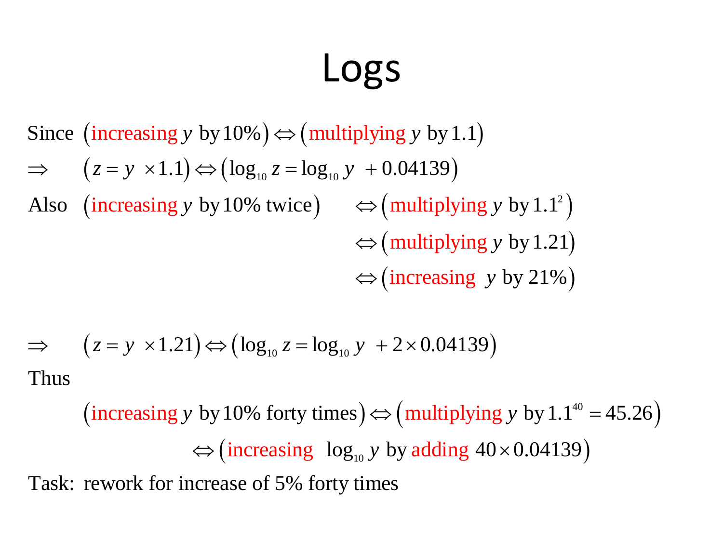### Logs

Since (increasing y by 10%)  $\Leftrightarrow$  (multiplying y by 1.1)  $\Rightarrow (z = y \times 1.1) \Leftrightarrow (\log_{10} z = \log_{10} y + 0.04139)$ (increasing y by 10% twice)  $\iff$  (multiplying y by 1.1<sup>2</sup>)  $\Leftrightarrow$  (multiplying y by 1.21)  $\Leftrightarrow$  (increasing y by 21%) LOGS<br>
(oultiplying y by<br>  $\Rightarrow$  (multiplying y by<br>  $\Rightarrow$  twice)  $\Leftrightarrow$  (multipl<br>  $\Leftrightarrow$  (multipl<br>  $\Leftrightarrow$  (increas<br>  $g_{10} z = log_{10} y + 2 \times 0.0$ <br>
o forty times)  $\Leftrightarrow$  (multipl<br>
reasing log<sub>10</sub> y by addi<br>
of 5% forty times LOGS<br>
⇒ (multiplying y by 1<br>
z = log<sub>10</sub> y + 0.04139)<br>
twice)  $\Leftrightarrow$  (multiply<br>  $\Leftrightarrow$  (multiply<br>  $\Leftrightarrow$  (increasin<br>
<sub>10</sub> z = log<sub>10</sub> y + 2 × 0.04<br>
forty times)  $\Leftrightarrow$  (multip<br>
asing log<sub>10</sub> y by addin<br>
if 5% forty times **LOGS**<br>
Since (increasing y by 10%)  $\Leftrightarrow$  (multiplying y by 1.1)<br>  $\Rightarrow$   $(z = y \times 1.1) \Leftrightarrow (\log_{10} z = \log_{10} y + 0.04139)$ <br>
Also (increasing y by 10% twice)  $\Leftrightarrow$  (multiplying y by 1.1<sup>2</sup>)<br>  $\Leftrightarrow$  (multiplying y by 121)<br>  $\Leftrightarrow$  **LOGS**<br>
Since (increasing y by 10%)  $\Leftrightarrow$  (multiplying y by 1.1)<br>  $\Rightarrow$   $(z = y \times 1.1) \Leftrightarrow (\log_m z = \log_{10} y + 0.04139)$ <br>
Also (increasing y by 10% twice)  $\Leftrightarrow$  (multiplying y by 1.1<sup>2</sup>)<br>  $\Leftrightarrow$  (multiplying y by 1.21)<br>  $\Leftrightarrow$  (i increasing y by 10%  $\Rightarrow$  (multiplying y by 1.1)<br>
z = y ×1.1)  $\Rightarrow$  (log<sub>10</sub> z = log<sub>10</sub> y + 0.04139)<br>
increasing y by 10% twice)  $\Rightarrow$  (multiplying y by 1.1<sup>2</sup>)<br>  $\Rightarrow$  (multiplying y by 1.21)<br>  $\Rightarrow$  (increasing y by 21%)<br>
z increasing y by 10%) ⇔ (multiplying y by 1.1)<br>  $z = y \times 1.1$ ) ⇔ (log<sub>10</sub> z = log<sub>10</sub> y + 0.04139)<br>
increasing y by 10% twice) ⇔ (multiplying y by 1.1<sup>2</sup>)<br>
⇔ (multiplying y by 1.21)<br>
⇔ (increasing y by 21%)<br>  $z = y \times 1.21$ ) ⇔ **LOGS**<br>
(multiplying y by 1.1)<br>  $\log_{10} y + 0.04139$ )<br>
ce)  $\Rightarrow$  (multiplying y by 1.1<sup>2</sup>)<br>  $\Rightarrow$  (multiplying y by 1.21)<br>  $\Rightarrow$  (increasing y by 21%)<br>
=  $\log_{10} y + 2 \times 0.04139$ )<br>
ty times)  $\Rightarrow$  (multiplying y by 1.1<sup>40</sup> = 45.2 LOGS<br>
asing y by 10%)  $\Leftrightarrow$  (multiplying y by 1.1)<br>  $\times 1.1$ )  $\Leftrightarrow$  (log<sub>10</sub> z = log<sub>10</sub> y + 0.04139)<br>
asing y by 10% twice)  $\Leftrightarrow$  (multiplying y by 1.1<sup>2</sup>)<br>  $\Leftrightarrow$  (multiplying y by 1.21)<br>  $\Leftrightarrow$  (increasing y by 21%) **LOGS**<br> *y* by 10%)  $\Leftrightarrow$  (multiplying *y* by 1.1)<br>  $\Leftrightarrow$  (log<sub>10</sub> *z* = log<sub>10</sub> *y* + 0.04139)<br>  $\Rightarrow$  (multiplying *y* by 1.1<sup>2</sup>)<br>  $\Leftrightarrow$  (multiplying *y* by 1.21)<br>  $\Leftrightarrow$  (increasing *y* by 21%)<br>
1)  $\Leftrightarrow$  (log<sub>10</sub> *z* **LOGS**<br>
increasing y by 10%)  $\Leftrightarrow$  (multiplying y by 1.1)<br>  $z = y \times 1.1$ )  $\Leftrightarrow$  (log<sub>10</sub> z = log<sub>10</sub> y + 0.04139)<br>
increasing y by 10% twice)  $\Leftrightarrow$  (multiplying y by 1.<br>  $\Leftrightarrow$  (multiplying y by 21<br>  $z = y \times 1.21$ )  $\Leftrightarrow$ LOGS<br> *y* by 10%)  $\Leftrightarrow$  (multiplying *y* by 1.1)<br>  $)\Leftrightarrow$  (log<sub>10</sub> *z* = log<sub>10</sub> *y* + 0.04139)<br> *y* by 10% twice)  $\Leftrightarrow$  (multiplying *y* by 1.1<sup>2</sup>)<br>  $\Leftrightarrow$  (multiplying *y* by 1.21)<br>  $\Leftrightarrow$  (increasing *y* by 21%)<br>
1) **LOGS**<br>
increasing y by 10%)  $\Leftrightarrow$  (multiplying y by 1.1)<br>  $z = y \times 1.1$   $\Leftrightarrow$  (log<sub>10</sub>  $z = \log_{10} y + 0.04139$ )<br>
increasing y by 10% twice)  $\Leftrightarrow$  (multiplying y by 1.1<sup>2</sup>)<br>  $\Leftrightarrow$  (multiplying y by 1.21)<br>  $\Leftrightarrow$  (increasi LOGS<br>
Since (increasing y by 10%)  $\Leftrightarrow$  (multiplying y by 1.1)<br>
⇒  $(z = y \times 1.1) \Leftrightarrow (\log_{10} z = \log_{10} y + 0.04139)$ <br>
Also (increasing y by 10% twice)  $\Leftrightarrow$  (multiplying y by 1.1<sup>2</sup>)<br>  $\Leftrightarrow$  (multiplying y by 1.21)<br>
⇒ ( $z = y \times$ LOGS<br>
Since (increasing y by 10%)  $\Leftrightarrow$  (multiplying y by 1.1)<br>
⇒  $(z = y \times 1.1) \Leftrightarrow (\log_{10} z = \log_{10} y + 0.04139)$ <br>
Also (increasing y by 10% twice)  $\Leftrightarrow$  (multiplying y by 1.1<sup>2</sup>)<br>  $\Leftrightarrow$  (multiplying y by 1.21)<br>
⇒ ( $z = y \times$ **LOGS**<br>
increasing y by 10%)  $\Leftrightarrow$  (multiplying y by 1.1)<br>  $z = y \times 1.1$ )  $\Leftrightarrow$  (log<sub>10</sub>  $z = \log_{10} y + 0.04139$ )<br>
increasing y by 10% twice)  $\Leftrightarrow$  (multiplying y by 1.1<sup>3</sup>)<br>  $\Leftrightarrow$  (multiplying y by 121%)<br>  $z = y \times 1.21$ )  $\L$ **LOGS**<br>
Since (increasing y by 10%)  $\Leftrightarrow$  (multiplying y by 1.1)<br>  $\Rightarrow$   $(z = y \times 1.1) \Leftrightarrow (\log_{10} z = \log_{10} y + 0.04139)$ <br>
Also (increasing y by 10% twice)  $\Leftrightarrow$  (multiplying y by 1.1<sup>2</sup>)<br>  $\Leftrightarrow$  (multiplying y by 1.21)<br>  $\Leftrightarrow$ **LOGS**<br>
y by 10%  $\Rightarrow$  (multiplying y by 1.1)<br>
t)  $\Rightarrow$  (log<sub>10</sub> z = log<sub>10</sub> y + 0.04139)<br>
y by 10% twice)  $\Rightarrow$  (multiplying y by 1.1<sup>2</sup>)<br>  $\Rightarrow$  (multiplying y by 1.21)<br>  $\Rightarrow$  (increasing y by 21%)<br>
21)  $\Rightarrow$  (log<sub>10</sub> z = log<sub></sub> **LOGS**<br>
Since (increasing y by 10%)  $\Leftrightarrow$  (multiplying y by 1.1)<br>  $\Rightarrow$   $(z = y \times 1.1) \Leftrightarrow (\log_{10} z = \log_{10} y + 0.04139)$ <br>
Also (increasing y by 10% twice)  $\Leftrightarrow$  (multiplying y by 1.1<sup>2</sup>)<br>  $\Leftrightarrow$  (multiplying y by 1.21)<br>  $\Rightarrow$  ( **LOGS**<br>
y by 10%)  $\Leftrightarrow$  (multiplying y by 1.1)<br>  $)\Leftrightarrow$  (log<sub>10</sub> z = log<sub>10</sub> y + 0.04139)<br>
y by 10% twice)  $\Leftrightarrow$  (multiplying y by 1.1<sup>2</sup>)<br>  $\Leftrightarrow$  (multiplying y by 1.21)<br>  $\Leftrightarrow$  (increasing y by 21%)<br>
1)  $\Leftrightarrow$  (log<sub>1</sub> **LOGS**<br>
by 10%)  $\Leftrightarrow$  (multiplying y by 1.1)<br>  $\Leftrightarrow$  (log<sub>10</sub> z = log<sub>10</sub> y + 0.04139)<br>
by 10% twice)  $\Leftrightarrow$  (multiplying y by 1.1<sup>2</sup>)<br>  $\Leftrightarrow$  (multiplying y by 1.21)<br>  $\Leftrightarrow$  (increasing y by 21%)<br>  $)\Leftrightarrow$  (log<sub>10</sub> z =

$$
\Rightarrow \quad (z = y \times 1.21) \Leftrightarrow (\log_{10} z = \log_{10} y + 2 \times 0.04139)
$$
Thus

g y by 1.1<sup>2</sup>)<br>g y by 1.21)<br>y by 21%)<br>9)<br>ing y by 1.1<sup>40</sup> = 45.26)<br>40×0.04139) (increasing y by 10% forty times)  $\Leftrightarrow$  (multiplying y by 1.1<sup>40</sup> = 45.26)  $\Leftrightarrow$  (increasing  $\log_{10} y$  by adding  $40 \times 0.04139$ )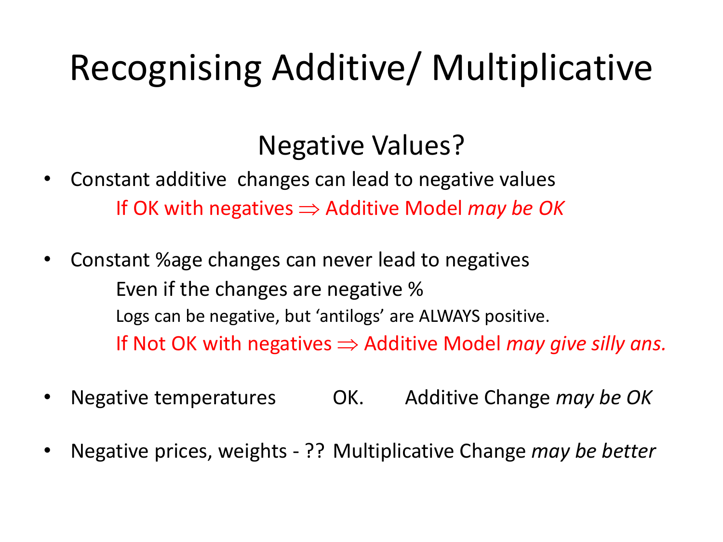### Recognising Additive/ Multiplicative

### Negative Values?

- Constant additive changes can lead to negative values If OK with negatives  $\Rightarrow$  Additive Model *may be OK*
- Constant %age changes can never lead to negatives Even if the changes are negative % Logs can be negative, but 'antilogs' are ALWAYS positive. If Not OK with negatives  $\Rightarrow$  Additive Model *may give silly ans.*
- Negative temperatures OK. Additive Change *may be OK*
- Negative prices, weights ?? Multiplicative Change *may be better*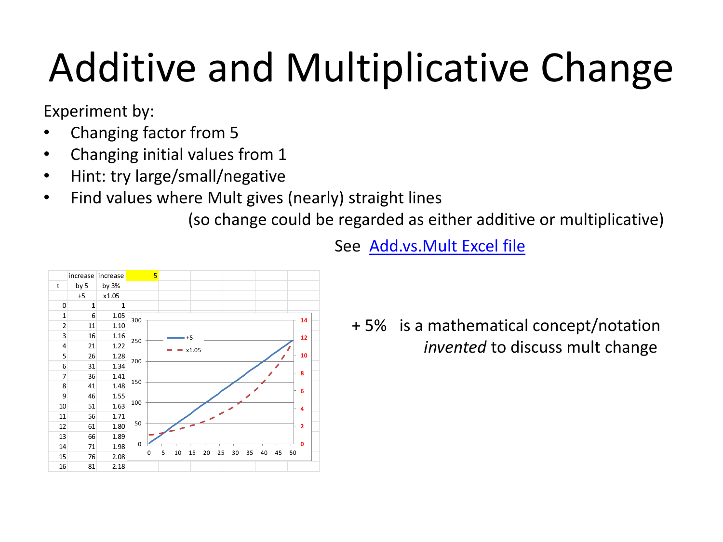Experiment by:

- Changing factor from 5
- Changing initial values from 1
- Hint: try large/small/negative
- Find values where Mult gives (nearly) straight lines

(so change could be regarded as either additive or multiplicative)



See [Add.vs.Mult](https://www.scss.tcd.ie/John.Haslett/st7002/Add.vs.Mult.xlsx) [Excel file](https://www.scss.tcd.ie/John.Haslett/st7002/Add.vs.Mult.xlsx)

+ 5% is a mathematical concept/notation *invented* to discuss mult change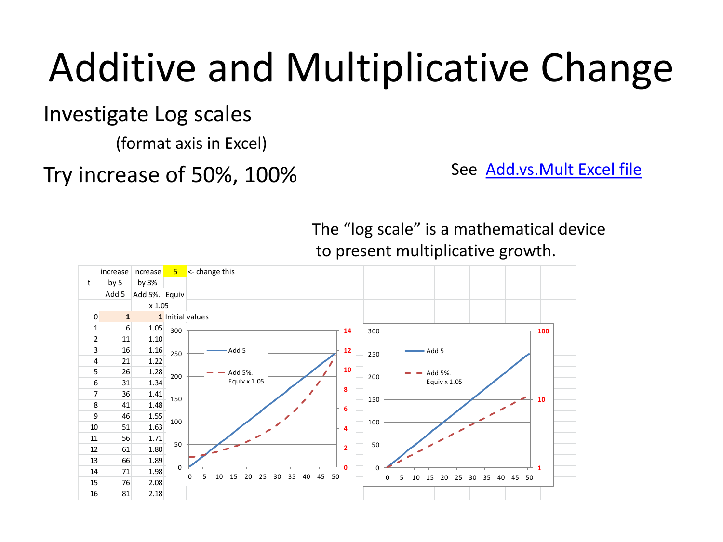#### Investigate Log scales

(format axis in Excel)

### Try increase of 50%, 100%

See [Add.vs.Mult](https://www.scss.tcd.ie/John.Haslett/st7002/Add.vs.Mult.xlsx) [Excel file](https://www.scss.tcd.ie/John.Haslett/st7002/Add.vs.Mult.xlsx)



The "log scale" is a mathematical device to present multiplicative growth.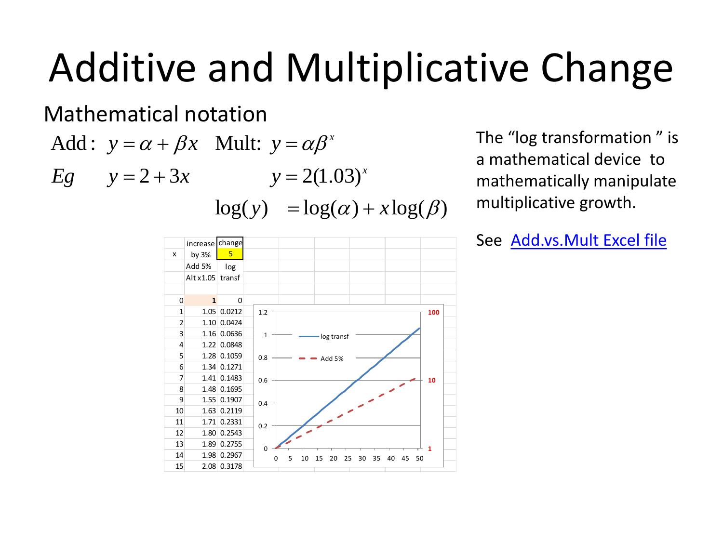Mathematical notation

*x*

The "log transformation " is a mathematical device to mathematically manipulate multiplicative growth.

Additive and Multi y= $\alpha \beta^x$ <br>  $E_g$  y=2+3x y=2(1.03)<sup>x</sup><br>  $\log(y) = \log(\alpha) + x$ <br>  $\frac{\log(\alpha)}{\log(\alpha)}$ <br>  $\frac{1}{\log(\alpha)}$ <br>  $\frac{\log(\alpha)}{\log(\alpha)}$ <br>  $\frac{\log(\alpha)}{\log(\alpha)}$ <br>  $\frac{\log(\alpha)}{\log(\alpha)}$ <br>  $\frac{1}{\log(\alpha)}$ <br>  $\frac{1}{\log(\alpha)}$ <br>  $\frac{1}{\log(\alpha)}$ <br>  $\frac{1}{\log(\alpha)}$ <br>  $\frac{1}{\log(\alpha)}$ <br> Cive and Multiplicative  $\alpha + \beta x$  Multiplicative and  $2+3x$   $y = 2(1.03)^x$  The amin  $log(y) = log(\alpha) + x log(\beta)$  multiplicative  $log(\beta)$  and  $log(y) = log(\alpha) + x log(\beta)$  multiplicative  $log(\alpha)$  See  $\frac{1}{x \cos \alpha}$  Althus transformation  $\frac{1}{x \cos \alpha}$  and and Multiplicative Chataion<br>
Mult:  $y = \alpha \beta^x$ <br>  $y = 2(1.03)^x$ <br>  $\log(y) = \log(\alpha) + x \log(\beta)$ <br>  $\frac{\text{matrix}}{|\alpha|}$ <br>  $\frac{\log(x)}{|\alpha|}$ <br>  $\frac{\log(x)}{|\alpha|}$ <br>  $\frac{\log(x)}{|\alpha|}$ <br>  $\frac{\log(x)}{|\alpha|}$ <br>  $\frac{\log(x)}{|\alpha|}$ <br>  $\frac{\log(x)}{|\alpha|}$ <br>  $\frac{\log(x)}{|\alpha|}$ <br>  $\frac{\log(x)}{|\alpha|}$ <br>  $\$ ditive and Multiplicat<br>
matical notation<br>  $y = \alpha + \beta x$  Mult:  $y = \alpha \beta^x$ <br>  $y = 2 + 3x$   $y = 2(1.03)^x$ <br>  $log(y) = log(\alpha) + x log(\beta)$ <br>  $\frac{x \log x}{\log x}$ <br>  $\frac{log x}{\log x}$ <br>  $\frac{log x}{\log x}$ <br>  $\frac{1.5}{1.00 \text{ odd}}$ <br>  $\frac{1}{2} \lim_{x \to 0} \frac{1}{\log x}$ <br>  $\frac{1}{2} \lim_{x \to$ Additive and Multiplicat<br>
Mathematical notation<br>
Add:  $y = \alpha + \beta x$  Mult:  $y = \alpha \beta^x$ <br>  $E_g$   $y = 2 + 3x$   $y = 2(1.03)^x$ <br>  $log(y) = log(\alpha) + x log(\beta)$ <br>  $\frac{1}{x \log x}$ <br>
Attack log (a)<br>
Attack log (a)<br>
Attack log (a)<br>  $\frac{1}{x \log x}$ <br>
Attack log (a **d** Multiplicative Ch<br> *y* =  $2(1.03)^x$ <br>  $y = log(\alpha) + x log(\beta)$ <br>  $log(\alpha) + x log(\beta)$ <br>  $log(\alpha) + x log(\beta)$ <br>  $log(\alpha) + x log(\beta)$ <br>  $log(\alpha) + x log(\beta)$ <br>  $log(\alpha) + x log(\beta)$ <br>  $log(\alpha) + x log(\alpha)$ <br>  $log(\alpha) + x log(\alpha)$ <br>  $log(\alpha) + x log(\alpha)$ <br>  $log(\alpha) + x log(\alpha)$ <br>  $log(\alpha) + x log(\alpha)$ <br>  $log(\alpha) + x log(\alpha)$ <br>  $log(\alpha) + x log(\alpha$ Civeand Multiplicative Change<br>  $\alpha + \beta x$  Multi  $y = \alpha \beta^x$ <br>  $2 + 3x$  Multi  $y = 2(1.03)^x$ <br>  $log(y) = log(\alpha) + xlog(\beta)$ <br>  $log(y) = log(\alpha) + xlog(\beta)$ <br>  $log(y) = log(\alpha) + xlog(\beta)$ <br>  $log(x) = log(\alpha) + xlog(\beta)$ <br>  $log(x) = log(\alpha) + xlog(\beta)$ <br>  $log(x) = log(\alpha) + xlog(\beta)$ <br>  $log(x) = log(\alpha) + xlog(\beta)$ <br>  $log(x) = log(\$ Solutiplicative Change<br>
The "log transformation" is<br>
a mathematical device to<br>  $\alpha$ ) +  $x \log(\beta)$ <br>
See Add.vs.Mult Excel file<br>
See Add.vs.Mult Excel file<br>
See Add.vs.Mult Excel file<br>
See Add.vs.Mult Excel file itive and Multiplicative Change<br>  $\overline{z} = 2+3x$  Mult:  $y = \alpha\beta^x$  The "log transformation" is<br>  $y = 2(1.03)^x$  The "log transformation" is<br>  $\log(y) = \log(\alpha) + x \log(\beta)$  multiplicative growth.<br>  $\overline{z} = \frac{\log x}{\log x}$ <br>  $\overline{z} = \frac{\log x}{\log x}$ itive and Multiplicative Change<br>  $\overline{z} = 2+3x$  Mult:  $y = \alpha\beta^x$  The "log transformation" is<br>  $y = 2(1.03)^x$  The "log transformation" is<br>  $\log(y) = \log(\alpha) + x \log(\beta)$  multiplicative growth.<br>  $\overline{z} = \frac{\log x}{\log x}$ <br>  $\overline{z} = \frac{\log x}{\log x}$ Multiplicative Change<br>  $=\alpha\beta^x$  The "log transformation" is<br>  $= 2(1.03)^x$  a mathematical device to<br>  $=\log(\alpha) + x\log(\beta)$  multiplicative growth.<br>
See Add.vs.Mult Excel file<br>
See Add.vs.Mult Excel file increase change x by 3% <mark>5</mark> Add 5% Alt x1.05 transf 0 **1** 0 1 1.05 0.0212 2 1.10 0.0424 3 1.16 0.0636 4 1.22 0.0848 5 1.28 0.1059 6 1.34 0.1271 7 1.41 0.1483 8 1.48 0.1695 9 1.55 0.1907 10 1.63 0.2119 11 1.71 0.2331 12 1.80 0.2543 13 1.89 0.2755 14 1.98 0.2967 15 2.08 0.3178 log **1 1 0 100** 0 0.2 0.4 0.6 0.8 1 1.2 0 5 10 15 20 25 30 35 40 45 50 log transf Add 5%

See Add.vs.Mult Excel file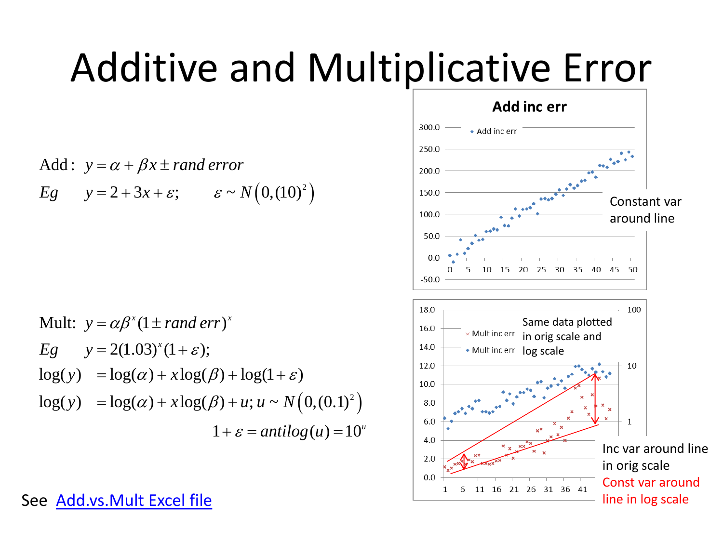### Additive and Multiplicative Error

Add: 
$$
y = \alpha + \beta x \pm \text{rand error}
$$
  
Eq  $y = 2 + 3x + \varepsilon$ ;  $\varepsilon \sim N(0, (10)^2)$ 

Additive and Multipole  
\nAdd: 
$$
y = \alpha + \beta x \pm \text{rand error}
$$
  
\n
$$
E_g \quad y = 2 + 3x + \varepsilon; \quad \varepsilon \sim N(0,10)^2)
$$
\nMult:  $y = \alpha \beta^x (1 \pm \text{rand error})^x$   
\n
$$
E_g \quad y = 2(1.03)^x (1 + \varepsilon);
$$
\n
$$
\log(y) = \log(\alpha) + x \log(\beta) + \log(1 + \varepsilon)
$$
\n
$$
\log(y) = \log(\alpha) + x \log(\beta) + u; u \sim N(0, (0.1)^2)
$$
\n
$$
1 + \varepsilon = \text{antilog}(u) = 10^u
$$
\n
$$
e \underline{\text{Add vs. Mult Excel file}}
$$
\n
$$
e \underline{\text{Add vs. Mult Excel file}}
$$

See Add.vs.Mult Excel file

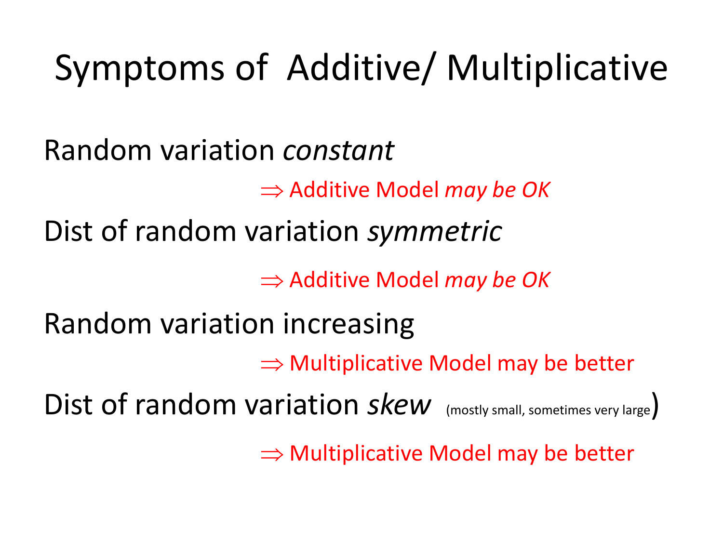### Symptoms of Additive/ Multiplicative

Random variation *constant*

Additive Model *may be OK*

Dist of random variation *symmetric*

Additive Model *may be OK*

Random variation increasing

 $\Rightarrow$  Multiplicative Model may be better

Dist of random variation  $skew$  (mostly small, sometimes very large)

 $\Rightarrow$  Multiplicative Model may be better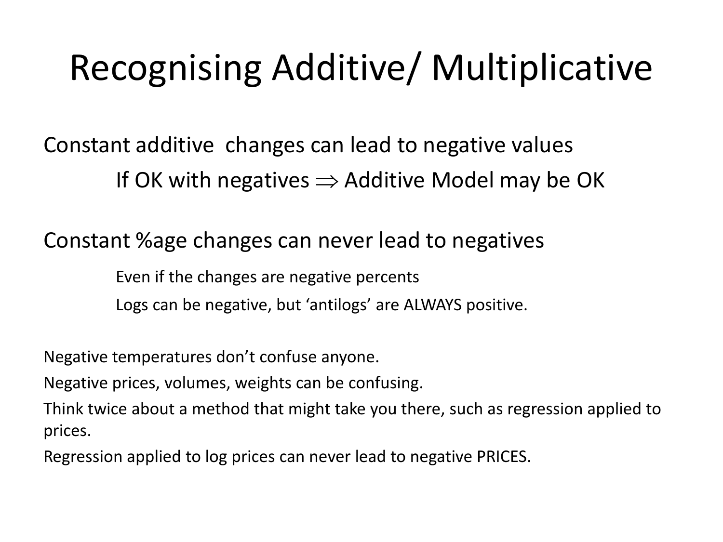### Recognising Additive/ Multiplicative

Constant additive changes can lead to negative values If OK with negatives  $\Rightarrow$  Additive Model may be OK

Constant %age changes can never lead to negatives

Even if the changes are negative percents Logs can be negative, but 'antilogs' are ALWAYS positive.

Negative temperatures don't confuse anyone.

Negative prices, volumes, weights can be confusing.

Think twice about a method that might take you there, such as regression applied to prices.

Regression applied to log prices can never lead to negative PRICES.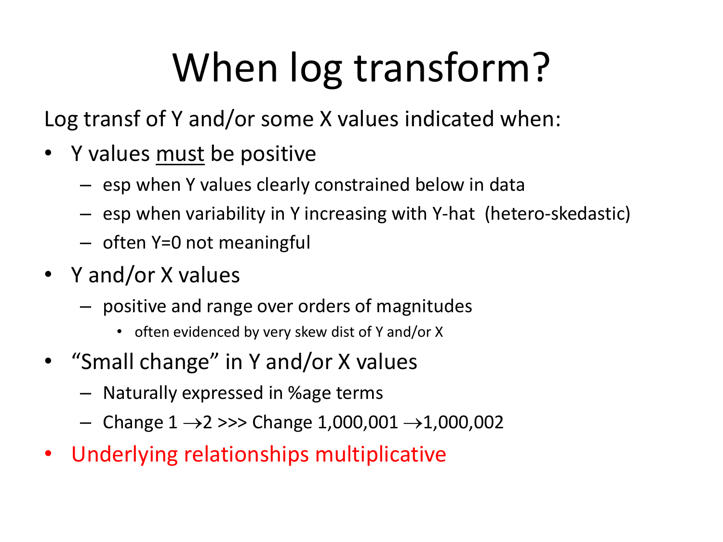# When log transform?

Log transf of Y and/or some X values indicated when:

- Y values must be positive
	- esp when Y values clearly constrained below in data
	- esp when variability in Y increasing with Y-hat (hetero-skedastic)
	- often Y=0 not meaningful
- Y and/or X values
	- positive and range over orders of magnitudes
		- often evidenced by very skew dist of Y and/or X
- "Small change" in Y and/or X values
	- Naturally expressed in %age terms
	- Change  $1 \rightarrow 2 \gg$  Change 1,000,001  $\rightarrow$  1,000,002
- Underlying relationships multiplicative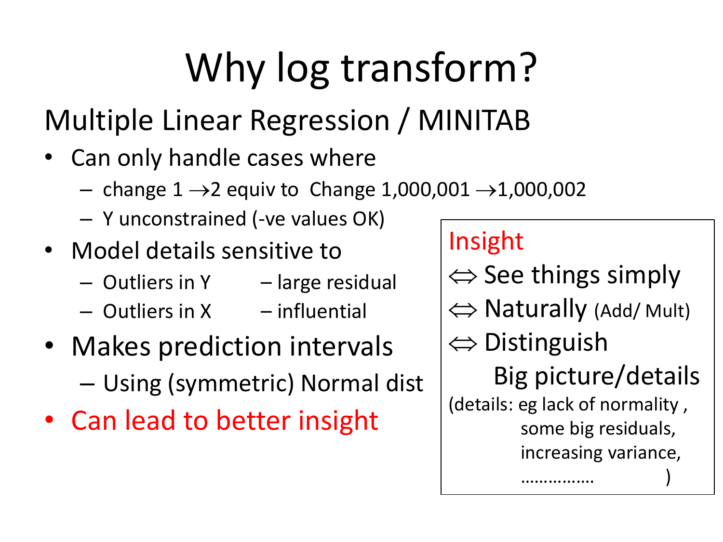# Why log transform?

### Multiple Linear Regression / MINITAB

- Can only handle cases where
	- change  $1 \rightarrow 2$  equiv to Change 1,000,001  $\rightarrow$ 1,000,002
	- Y unconstrained (-ve values OK)
- Model details sensitive to
	- Outliers in Y large residual
	- $-$  Outliers in X influential
- Makes prediction intervals – Using (symmetric) Normal dist
- Can lead to better insight

### Insight

 $\Leftrightarrow$  See things simply  $\Leftrightarrow$  Naturally (Add/ Mult)  $\Leftrightarrow$  Distinguish Big picture/details (details: eg lack of normality , some big residuals, increasing variance, ……………. )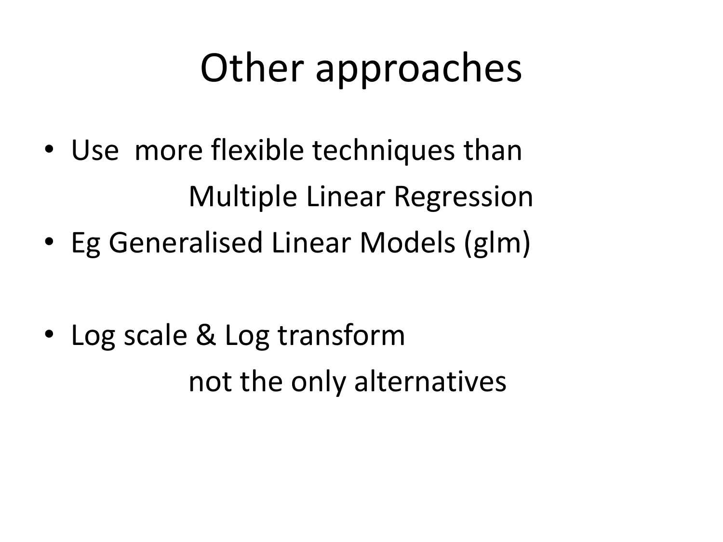### Other approaches

- Use more flexible techniques than Multiple Linear Regression
- Eg Generalised Linear Models (glm)

• Log scale & Log transform not the only alternatives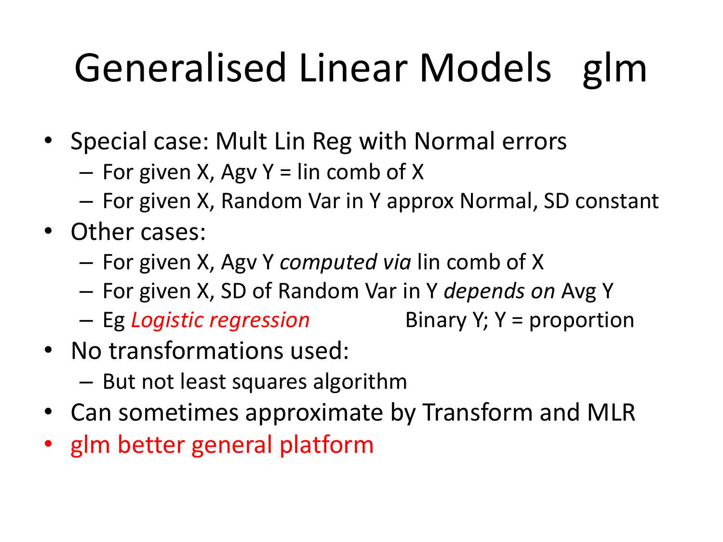# Generalised Linear Models glm

- Special case: Mult Lin Reg with Normal errors
	- $-$  For given X, Agv Y = lin comb of X
	- For given X, Random Var in Y approx Normal, SD constant
- Other cases:
	- For given X, Agv Y *computed via* lin comb of X
	- For given X, SD of Random Var in Y *depends on* Avg Y
	- Eg *Logistic regression* Binary Y; Y = proportion

- No transformations used:
	- But not least squares algorithm
- Can sometimes approximate by Transform and MLR
- glm better general platform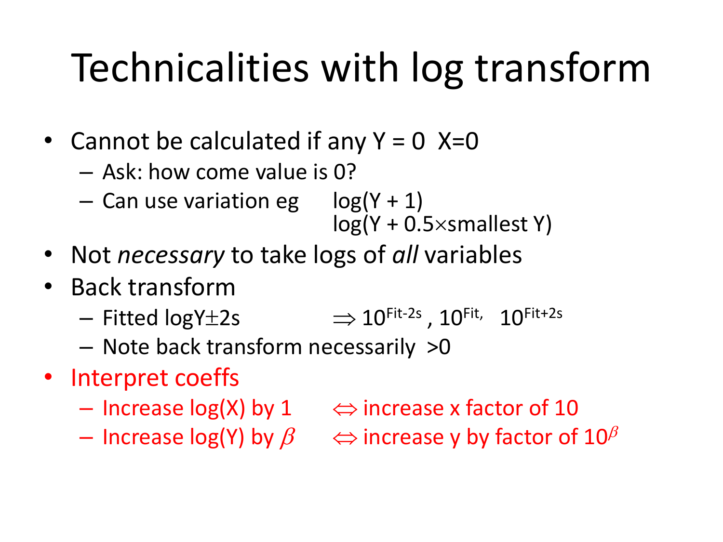### Technicalities with log transform

- Cannot be calculated if any  $Y = 0$  X=0
	- Ask: how come value is 0?
	- Can use variation eg  $log(Y + 1)$  $log(Y + 0.5 \times$ smallest Y)
- Not *necessary* to take logs of *all* variables
- Back transform
	- $-$  Fitted logY $\pm$ 2s  $\Rightarrow$   $10^{\rm Fit\text{-}2s}$  ,  $10^{\rm Fit\text{-}}$ 10Fit+2s
	- Note back transform necessarily >0
- Interpret coeffs
	- Increase  $log(X)$  by 1  $\iff$  increase x factor of 10
	- Increase log(Y) by  $\beta \Rightarrow$  increase y by factor of  $10^{\beta}$
-